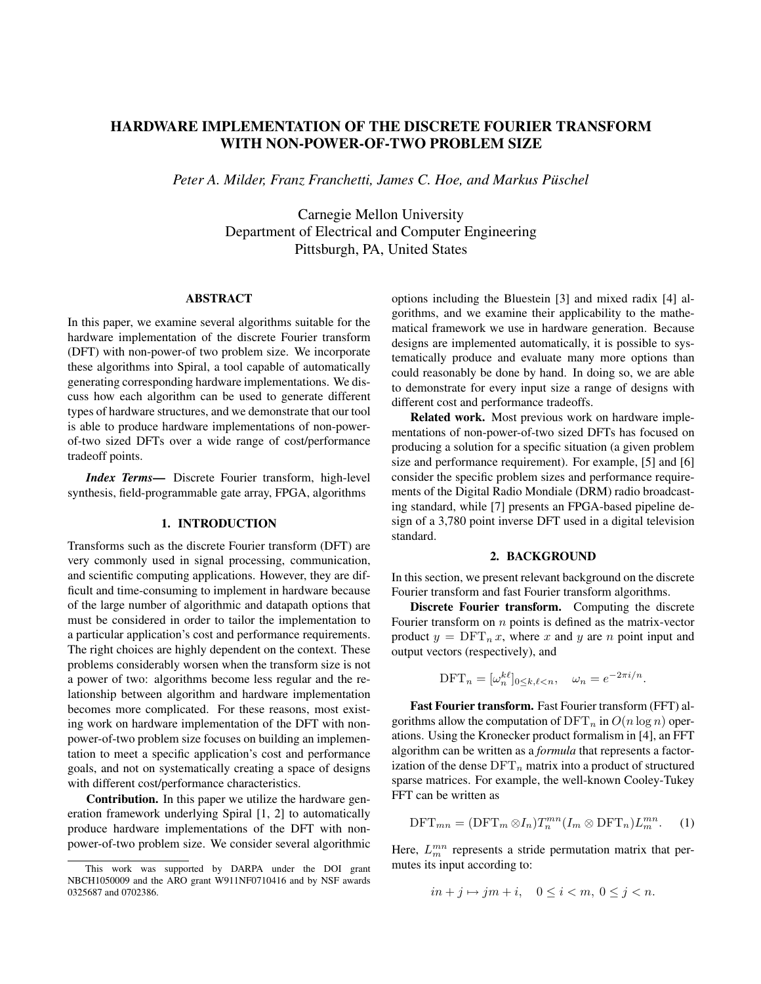# **HARDWARE IMPLEMENTATION OF THE DISCRETE FOURIER TRANSFORM WITH NON-POWER-OF-TWO PROBLEM SIZE**

*Peter A. Milder, Franz Franchetti, James C. Hoe, and Markus Puschel ¨*

Carnegie Mellon University Department of Electrical and Computer Engineering Pittsburgh, PA, United States

## **ABSTRACT**

In this paper, we examine several algorithms suitable for the hardware implementation of the discrete Fourier transform (DFT) with non-power-of two problem size. We incorporate these algorithms into Spiral, a tool capable of automatically generating corresponding hardware implementations. We discuss how each algorithm can be used to generate different types of hardware structures, and we demonstrate that our tool is able to produce hardware implementations of non-powerof-two sized DFTs over a wide range of cost/performance tradeoff points.

*Index Terms***—** Discrete Fourier transform, high-level synthesis, field-programmable gate array, FPGA, algorithms

## **1. INTRODUCTION**

Transforms such as the discrete Fourier transform (DFT) are very commonly used in signal processing, communication, and scientific computing applications. However, they are difficult and time-consuming to implement in hardware because of the large number of algorithmic and datapath options that must be considered in order to tailor the implementation to a particular application's cost and performance requirements. The right choices are highly dependent on the context. These problems considerably worsen when the transform size is not a power of two: algorithms become less regular and the relationship between algorithm and hardware implementation becomes more complicated. For these reasons, most existing work on hardware implementation of the DFT with nonpower-of-two problem size focuses on building an implementation to meet a specific application's cost and performance goals, and not on systematically creating a space of designs with different cost/performance characteristics.

**Contribution.** In this paper we utilize the hardware generation framework underlying Spiral [1, 2] to automatically produce hardware implementations of the DFT with nonpower-of-two problem size. We consider several algorithmic options including the Bluestein [3] and mixed radix [4] algorithms, and we examine their applicability to the mathematical framework we use in hardware generation. Because designs are implemented automatically, it is possible to systematically produce and evaluate many more options than could reasonably be done by hand. In doing so, we are able to demonstrate for every input size a range of designs with different cost and performance tradeoffs.

**Related work.** Most previous work on hardware implementations of non-power-of-two sized DFTs has focused on producing a solution for a specific situation (a given problem size and performance requirement). For example, [5] and [6] consider the specific problem sizes and performance requirements of the Digital Radio Mondiale (DRM) radio broadcasting standard, while [7] presents an FPGA-based pipeline design of a 3,780 point inverse DFT used in a digital television standard.

#### **2. BACKGROUND**

In this section, we present relevant background on the discrete Fourier transform and fast Fourier transform algorithms.

**Discrete Fourier transform.** Computing the discrete Fourier transform on  $n$  points is defined as the matrix-vector product  $y = DFT_n x$ , where x and y are n point input and output vectors (respectively), and

$$
\text{DFT}_n = [\omega_n^{k\ell}]_{0 \le k,\ell < n}, \quad \omega_n = e^{-2\pi i/n}.
$$

**Fast Fourier transform.** Fast Fourier transform (FFT) algorithms allow the computation of  $\text{DFT}_n$  in  $O(n \log n)$  operations. Using the Kronecker product formalism in [4], an FFT algorithm can be written as a *formula* that represents a factorization of the dense  $\text{DFT}_n$  matrix into a product of structured sparse matrices. For example, the well-known Cooley-Tukey FFT can be written as

$$
\text{DFT}_{mn} = (\text{DFT}_m \otimes I_n) T_n^{mn} (I_m \otimes \text{DFT}_n) L_m^{mn}.
$$
 (1)

Here,  $L_m^{mn}$  represents a stride permutation matrix that permutes its input according to:

$$
in+j \mapsto jm+i, \quad 0 \le i < m, \ 0 \le j < n.
$$

This work was supported by DARPA under the DOI grant NBCH1050009 and the ARO grant W911NF0710416 and by NSF awards 0325687 and 0702386.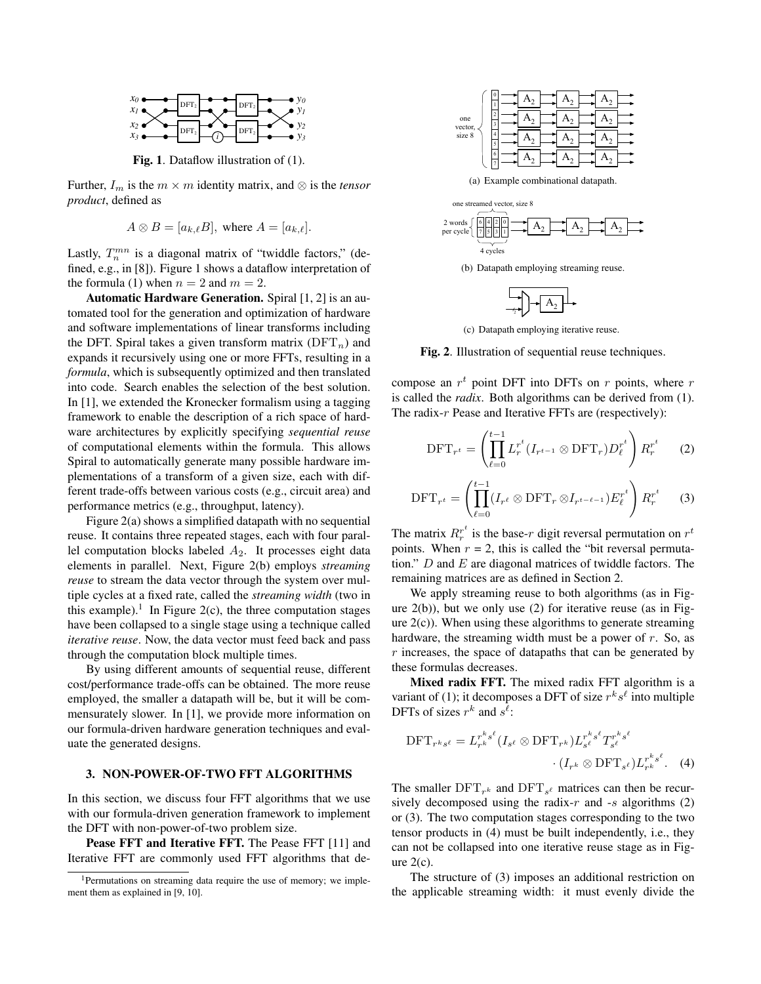

**Fig. 1**. Dataflow illustration of (1).

Further,  $I_m$  is the  $m \times m$  identity matrix, and  $\otimes$  is the *tensor product*, defined as

$$
A \otimes B = [a_{k,\ell}B], \text{ where } A = [a_{k,\ell}].
$$

Lastly,  $T_n^{mn}$  is a diagonal matrix of "twiddle factors," (defined, e.g., in [8]). Figure 1 shows a dataflow interpretation of the formula (1) when  $n = 2$  and  $m = 2$ .

**Automatic Hardware Generation.** Spiral [1, 2] is an automated tool for the generation and optimization of hardware and software implementations of linear transforms including the DFT. Spiral takes a given transform matrix  $(DFT_n)$  and expands it recursively using one or more FFTs, resulting in a *formula*, which is subsequently optimized and then translated into code. Search enables the selection of the best solution. In [1], we extended the Kronecker formalism using a tagging framework to enable the description of a rich space of hardware architectures by explicitly specifying *sequential reuse* of computational elements within the formula. This allows Spiral to automatically generate many possible hardware implementations of a transform of a given size, each with different trade-offs between various costs (e.g., circuit area) and performance metrics (e.g., throughput, latency).

Figure 2(a) shows a simplified datapath with no sequential reuse. It contains three repeated stages, each with four parallel computation blocks labeled  $A_2$ . It processes eight data elements in parallel. Next, Figure 2(b) employs *streaming reuse* to stream the data vector through the system over multiple cycles at a fixed rate, called the *streaming width* (two in this example).<sup>1</sup> In Figure 2(c), the three computation stages have been collapsed to a single stage using a technique called *iterative reuse*. Now, the data vector must feed back and pass through the computation block multiple times.

By using different amounts of sequential reuse, different cost/performance trade-offs can be obtained. The more reuse employed, the smaller a datapath will be, but it will be commensurately slower. In [1], we provide more information on our formula-driven hardware generation techniques and evaluate the generated designs.

#### **3. NON-POWER-OF-TWO FFT ALGORITHMS**

In this section, we discuss four FFT algorithms that we use with our formula-driven generation framework to implement the DFT with non-power-of-two problem size.

**Pease FFT and Iterative FFT.** The Pease FFT [11] and Iterative FFT are commonly used FFT algorithms that de-



(a) Example combinational datapath.



(b) Datapath employing streaming reuse.



(c) Datapath employing iterative reuse.

**Fig. 2**. Illustration of sequential reuse techniques.

compose an  $r^t$  point DFT into DFTs on  $r$  points, where  $r$ is called the *radix*. Both algorithms can be derived from (1). The radix-r Pease and Iterative FFTs are (respectively):

$$
\text{DFT}_{r^t} = \left(\prod_{\ell=0}^{t-1} L_r^{r^t} (I_{r^{t-1}} \otimes \text{DFT}_r) D_\ell^{r^t}\right) R_r^{r^t} \qquad (2)
$$

$$
\text{DFT}_{r^t} = \left(\prod_{\ell=0}^{t-1} (I_{r^\ell} \otimes \text{DFT}_r \otimes I_{r^{t-\ell-1}}) E_\ell^{r^t}\right) R_r^{r^t} \qquad (3)
$$

The matrix  $R_r^{r^t}$  $r_r^t$  is the base-r digit reversal permutation on  $r^t$ points. When  $r = 2$ , this is called the "bit reversal permutation."  $D$  and  $E$  are diagonal matrices of twiddle factors. The remaining matrices are as defined in Section 2.

We apply streaming reuse to both algorithms (as in Figure  $2(b)$ ), but we only use (2) for iterative reuse (as in Figure  $2(c)$ ). When using these algorithms to generate streaming hardware, the streaming width must be a power of r. So, as  $r$  increases, the space of datapaths that can be generated by these formulas decreases.

**Mixed radix FFT.** The mixed radix FFT algorithm is a variant of (1); it decomposes a DFT of size  $r^k s^{\ell}$  into multiple DFTs of sizes  $r^k$  and  $s^{\ell}$ :

$$
\text{DFT}_{r^k s^\ell} = L_{r^k}^{r^k s^\ell} (I_{s^\ell} \otimes \text{DFT}_{r^k}) L_{s^\ell}^{r^k s^\ell} T_{s^\ell}^{r^k s^\ell} \cdot (I_{r^k} \otimes \text{DFT}_{s^\ell}) L_{r^k}^{r^k s^\ell}. \tag{4}
$$

The smaller  $\text{DFT}_{r^k}$  and  $\text{DFT}_{s^{\ell}}$  matrices can then be recursively decomposed using the radix-r and -s algorithms  $(2)$ or (3). The two computation stages corresponding to the two tensor products in (4) must be built independently, i.e., they can not be collapsed into one iterative reuse stage as in Figure  $2(c)$ .

The structure of (3) imposes an additional restriction on the applicable streaming width: it must evenly divide the

<sup>&</sup>lt;sup>1</sup>Permutations on streaming data require the use of memory; we implement them as explained in [9, 10].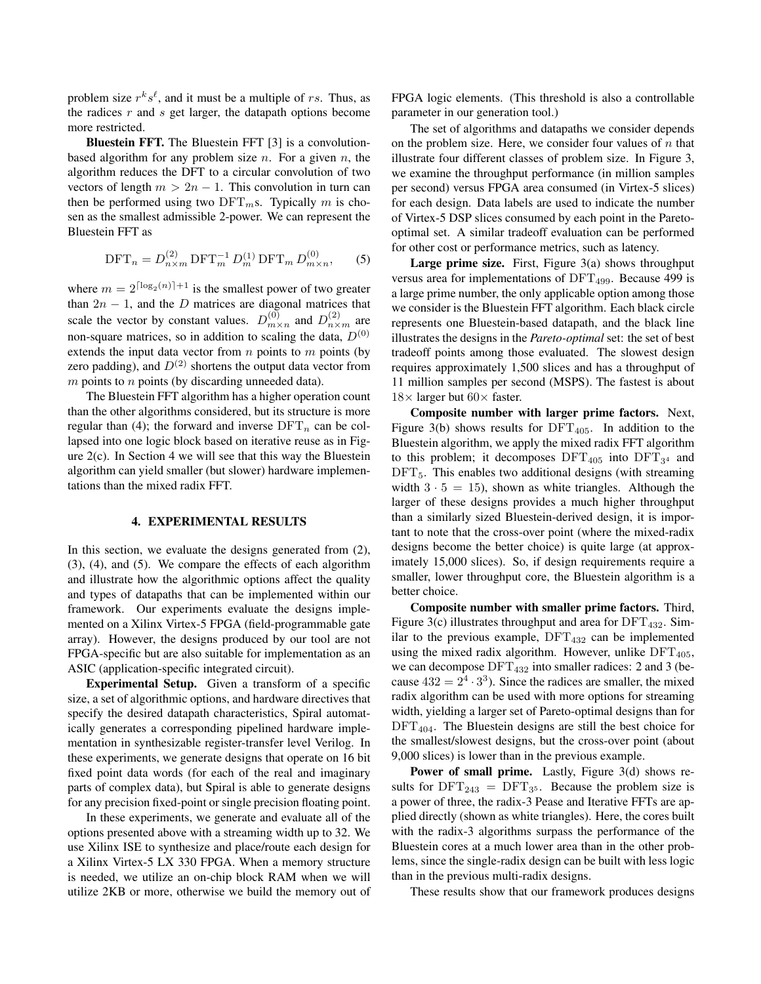problem size  $r^k s^{\ell}$ , and it must be a multiple of rs. Thus, as the radices  $r$  and  $s$  get larger, the datapath options become more restricted.

**Bluestein FFT.** The Bluestein FFT [3] is a convolutionbased algorithm for any problem size  $n$ . For a given  $n$ , the algorithm reduces the DFT to a circular convolution of two vectors of length  $m > 2n - 1$ . This convolution in turn can then be performed using two  $DFT_m$ s. Typically m is chosen as the smallest admissible 2-power. We can represent the Bluestein FFT as

$$
\text{DFT}_n = D_{n \times m}^{(2)} \text{DFT}_m^{-1} D_m^{(1)} \text{DFT}_m D_{m \times n}^{(0)}, \tag{5}
$$

where  $m = 2^{\lceil \log_2(n) \rceil + 1}$  is the smallest power of two greater than  $2n - 1$ , and the D matrices are diagonal matrices that scale the vector by constant values.  $D_{m \times n}^{(0)}$  and  $D_{n \times m}^{(2)}$  are non-square matrices, so in addition to scaling the data,  $D^{(0)}$ extends the input data vector from  $n$  points to  $m$  points (by zero padding), and  $D^{(2)}$  shortens the output data vector from  $m$  points to  $n$  points (by discarding unneeded data).

The Bluestein FFT algorithm has a higher operation count than the other algorithms considered, but its structure is more regular than (4); the forward and inverse  $\text{DFT}_n$  can be collapsed into one logic block based on iterative reuse as in Figure 2(c). In Section 4 we will see that this way the Bluestein algorithm can yield smaller (but slower) hardware implementations than the mixed radix FFT.

### **4. EXPERIMENTAL RESULTS**

In this section, we evaluate the designs generated from (2), (3), (4), and (5). We compare the effects of each algorithm and illustrate how the algorithmic options affect the quality and types of datapaths that can be implemented within our framework. Our experiments evaluate the designs implemented on a Xilinx Virtex-5 FPGA (field-programmable gate array). However, the designs produced by our tool are not FPGA-specific but are also suitable for implementation as an ASIC (application-specific integrated circuit).

**Experimental Setup.** Given a transform of a specific size, a set of algorithmic options, and hardware directives that specify the desired datapath characteristics, Spiral automatically generates a corresponding pipelined hardware implementation in synthesizable register-transfer level Verilog. In these experiments, we generate designs that operate on 16 bit fixed point data words (for each of the real and imaginary parts of complex data), but Spiral is able to generate designs for any precision fixed-point or single precision floating point.

In these experiments, we generate and evaluate all of the options presented above with a streaming width up to 32. We use Xilinx ISE to synthesize and place/route each design for a Xilinx Virtex-5 LX 330 FPGA. When a memory structure is needed, we utilize an on-chip block RAM when we will utilize 2KB or more, otherwise we build the memory out of FPGA logic elements. (This threshold is also a controllable parameter in our generation tool.)

The set of algorithms and datapaths we consider depends on the problem size. Here, we consider four values of  $n$  that illustrate four different classes of problem size. In Figure 3, we examine the throughput performance (in million samples per second) versus FPGA area consumed (in Virtex-5 slices) for each design. Data labels are used to indicate the number of Virtex-5 DSP slices consumed by each point in the Paretooptimal set. A similar tradeoff evaluation can be performed for other cost or performance metrics, such as latency.

Large prime size. First, Figure 3(a) shows throughput versus area for implementations of  $DFT<sub>499</sub>$ . Because 499 is a large prime number, the only applicable option among those we consider is the Bluestein FFT algorithm. Each black circle represents one Bluestein-based datapath, and the black line illustrates the designs in the *Pareto-optimal* set: the set of best tradeoff points among those evaluated. The slowest design requires approximately 1,500 slices and has a throughput of 11 million samples per second (MSPS). The fastest is about  $18\times$  larger but  $60\times$  faster.

**Composite number with larger prime factors.** Next, Figure 3(b) shows results for  $DFT_{405}$ . In addition to the Bluestein algorithm, we apply the mixed radix FFT algorithm to this problem; it decomposes  $DFT_{405}$  into  $DFT_{34}$  and  $DFT<sub>5</sub>$ . This enables two additional designs (with streaming width  $3 \cdot 5 = 15$ , shown as white triangles. Although the larger of these designs provides a much higher throughput than a similarly sized Bluestein-derived design, it is important to note that the cross-over point (where the mixed-radix designs become the better choice) is quite large (at approximately 15,000 slices). So, if design requirements require a smaller, lower throughput core, the Bluestein algorithm is a better choice.

**Composite number with smaller prime factors.** Third, Figure 3(c) illustrates throughput and area for  $DFT_{432}$ . Similar to the previous example,  $DFT_{432}$  can be implemented using the mixed radix algorithm. However, unlike  $DFT<sub>405</sub>$ , we can decompose  $DFT_{432}$  into smaller radices: 2 and 3 (because  $432 = 2^4 \cdot 3^3$ ). Since the radices are smaller, the mixed radix algorithm can be used with more options for streaming width, yielding a larger set of Pareto-optimal designs than for  $DFT<sub>404</sub>$ . The Bluestein designs are still the best choice for the smallest/slowest designs, but the cross-over point (about 9,000 slices) is lower than in the previous example.

Power of small prime. Lastly, Figure 3(d) shows results for  $DFT_{243} = DFT_{35}$ . Because the problem size is a power of three, the radix-3 Pease and Iterative FFTs are applied directly (shown as white triangles). Here, the cores built with the radix-3 algorithms surpass the performance of the Bluestein cores at a much lower area than in the other problems, since the single-radix design can be built with less logic than in the previous multi-radix designs.

These results show that our framework produces designs